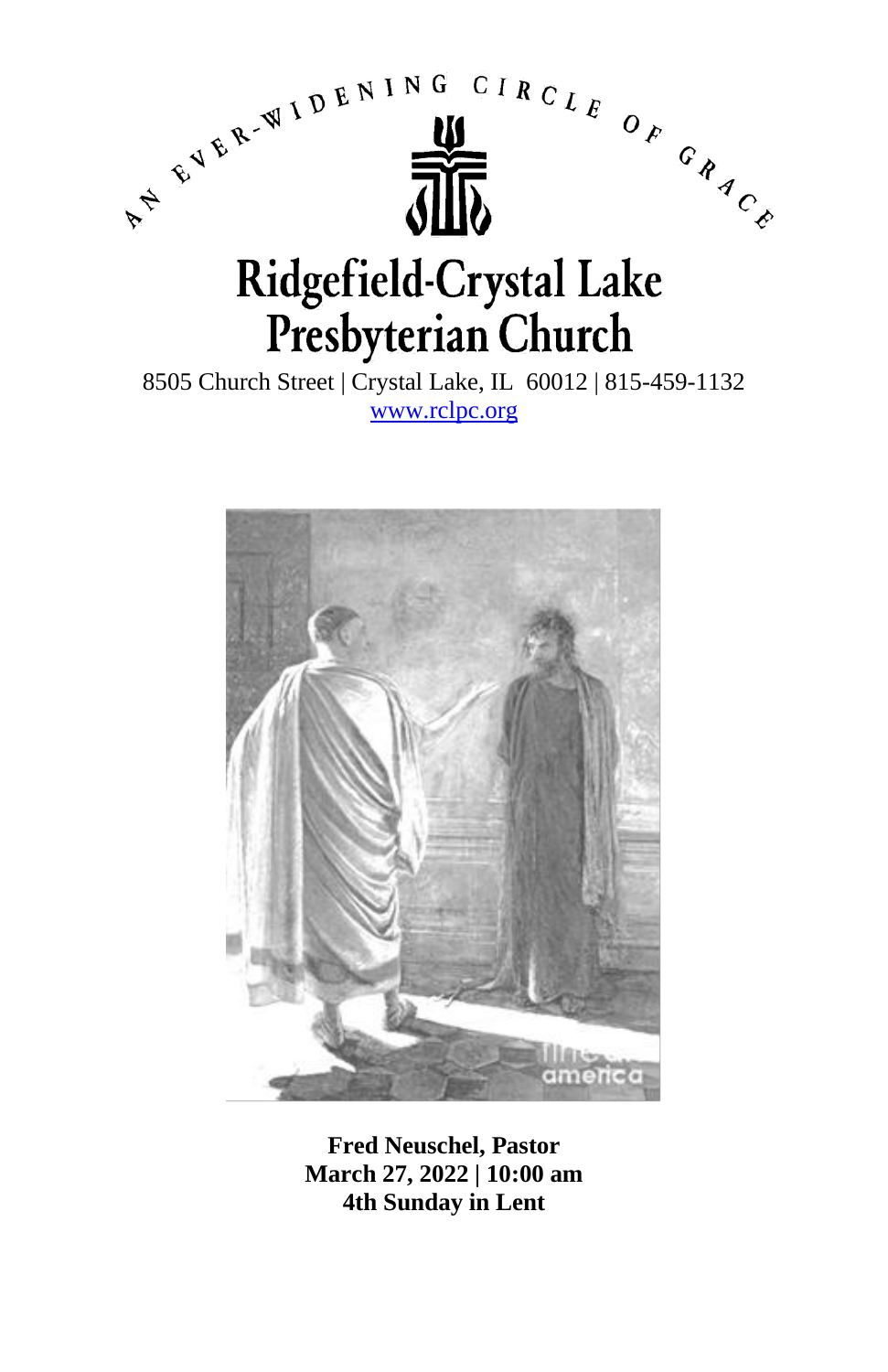

8505 Church Street | Crystal Lake, IL 60012 | 815-459-1132 [www.rclpc.org](http://www.rclpc.org/)



**Fred Neuschel, Pastor March 27, 2022 | 10:00 am 4th Sunday in Lent**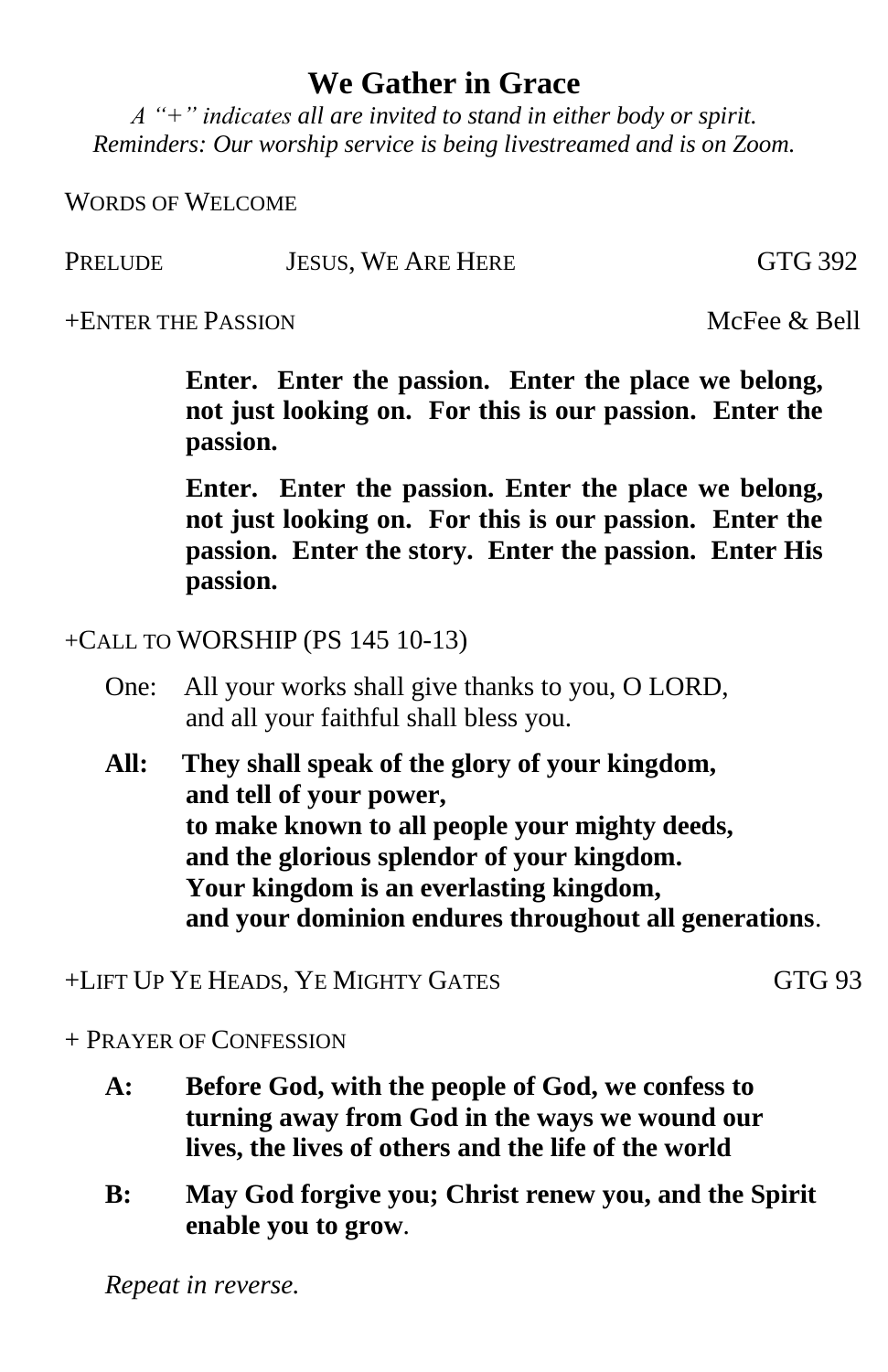## **We Gather in Grace**

*A "+" indicates all are invited to stand in either body or spirit. Reminders: Our worship service is being livestreamed and is on Zoom.*

WORDS OF WELCOME

PRELUDE JESUS, WE ARE HERE GTG 392

+ENTER THE PASSION McFee & Bell

**Enter. Enter the passion. Enter the place we belong, not just looking on. For this is our passion. Enter the passion.**

**Enter. Enter the passion. Enter the place we belong, not just looking on. For this is our passion. Enter the passion. Enter the story. Enter the passion. Enter His passion.**

+CALL TO WORSHIP (PS 145 10-13)

- One: All your works shall give thanks to you, O LORD, and all your faithful shall bless you.
- **All: They shall speak of the glory of your kingdom, and tell of your power, to make known to all people your mighty deeds, and the glorious splendor of your kingdom. Your kingdom is an everlasting kingdom, and your dominion endures throughout all generations**.

+LIFT UP YE HEADS, YE MIGHTY GATES GTG 93

+ PRAYER OF CONFESSION

- **A: Before God, with the people of God, we confess to turning away from God in the ways we wound our lives, the lives of others and the life of the world**
- **B: May God forgive you; Christ renew you, and the Spirit enable you to grow**.

*Repeat in reverse.*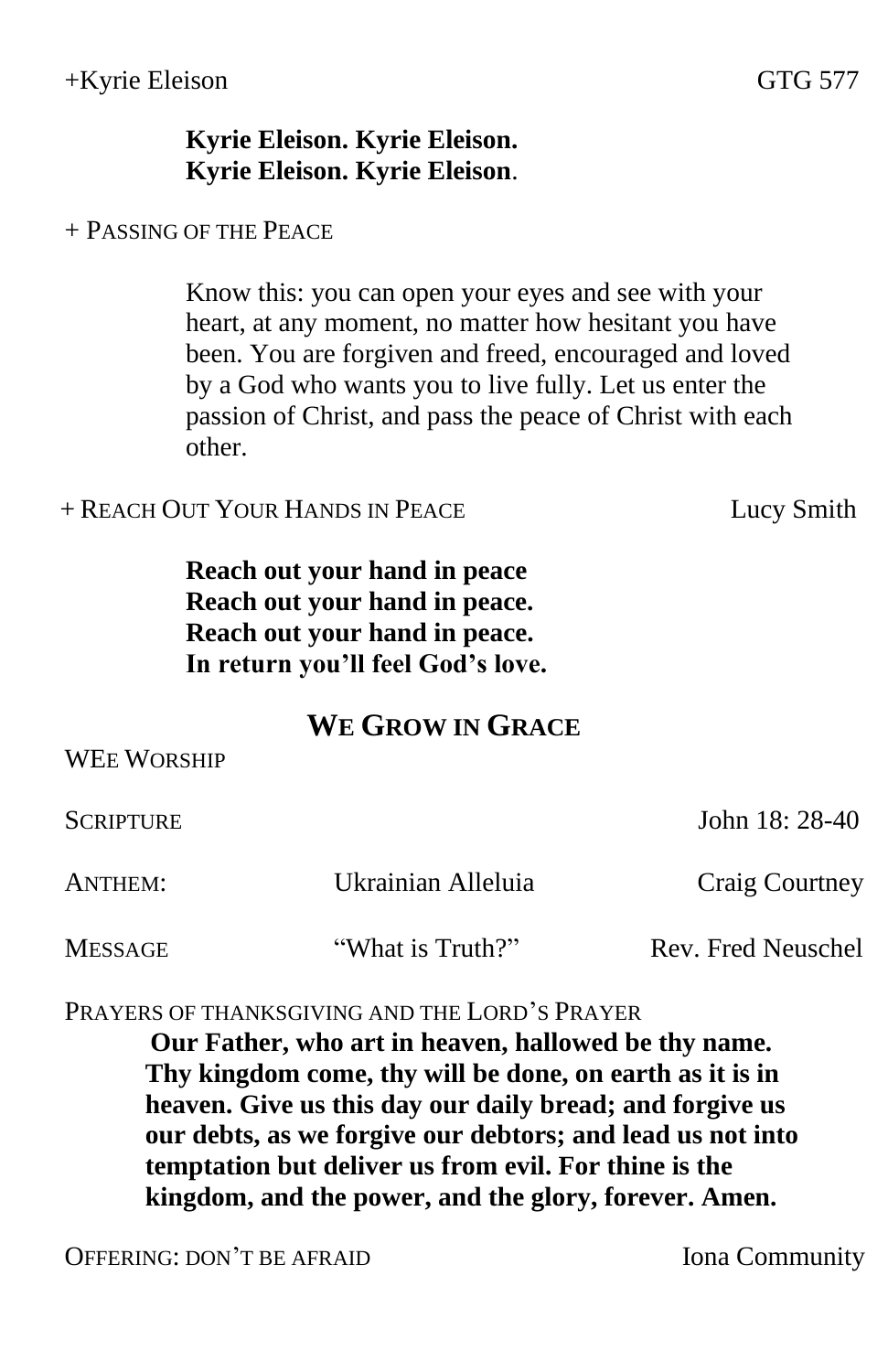## **Kyrie Eleison. Kyrie Eleison. Kyrie Eleison. Kyrie Eleison**.

+ PASSING OF THE PEACE

Know this: you can open your eyes and see with your heart, at any moment, no matter how hesitant you have been. You are forgiven and freed, encouraged and loved by a God who wants you to live fully. Let us enter the passion of Christ, and pass the peace of Christ with each other.

+ REACH OUT YOUR HANDS IN PEACE Lucy Smith

**Reach out your hand in peace Reach out your hand in peace. Reach out your hand in peace. In return you'll feel God's love.**

## **WE GROW IN GRACE**

| <b>WEE WORSHIP</b> |                    |                    |
|--------------------|--------------------|--------------------|
| SCRIPTURE          |                    | John 18: 28-40     |
| ANTHEM:            | Ukrainian Alleluia | Craig Courtney     |
| MESSAGE            | "What is Truth?"   | Rev. Fred Neuschel |

PRAYERS OF THANKSGIVING AND THE LORD'S PRAYER

**Our Father, who art in heaven, hallowed be thy name. Thy kingdom come, thy will be done, on earth as it is in heaven. Give us this day our daily bread; and forgive us our debts, as we forgive our debtors; and lead us not into temptation but deliver us from evil. For thine is the kingdom, and the power, and the glory, forever. Amen.**

OFFERING: DON'T BE AFRAID Iona Community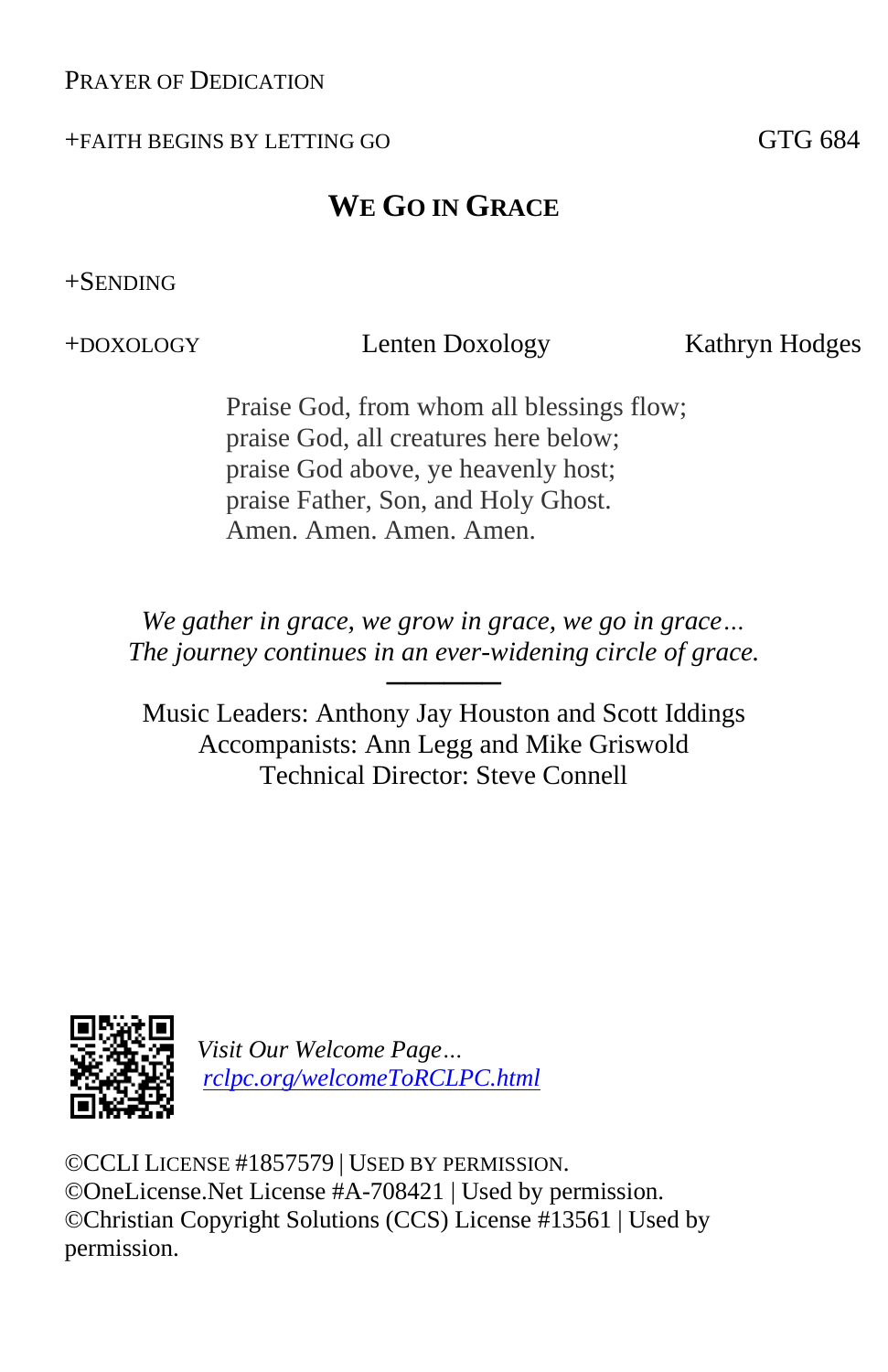### PRAYER OF DEDICATION

#### +FAITH BEGINS BY LETTING GO GTG 684

## **WE GO IN GRACE**

### +SENDING

+DOXOLOGY Lenten Doxology Kathryn Hodges

Praise God, from whom all blessings flow; praise God, all creatures here below; praise God above, ye heavenly host; praise Father, Son, and Holy Ghost. Amen. Amen. Amen. Amen.

*We gather in grace, we grow in grace, we go in grace… The journey continues in an ever-widening circle of grace.*

──────

Music Leaders: Anthony Jay Houston and Scott Iddings Accompanists: Ann Legg and Mike Griswold Technical Director: Steve Connell



*Visit Our Welcome Page… [rclpc.org/welcomeToRCLPC.html](http://rclpc.org/welcomeToRCLPC.html)*

©CCLI LICENSE #1857579 | USED BY PERMISSION. ©OneLicense.Net License #A-708421 | Used by permission. ©Christian Copyright Solutions (CCS) License #13561 | Used by permission.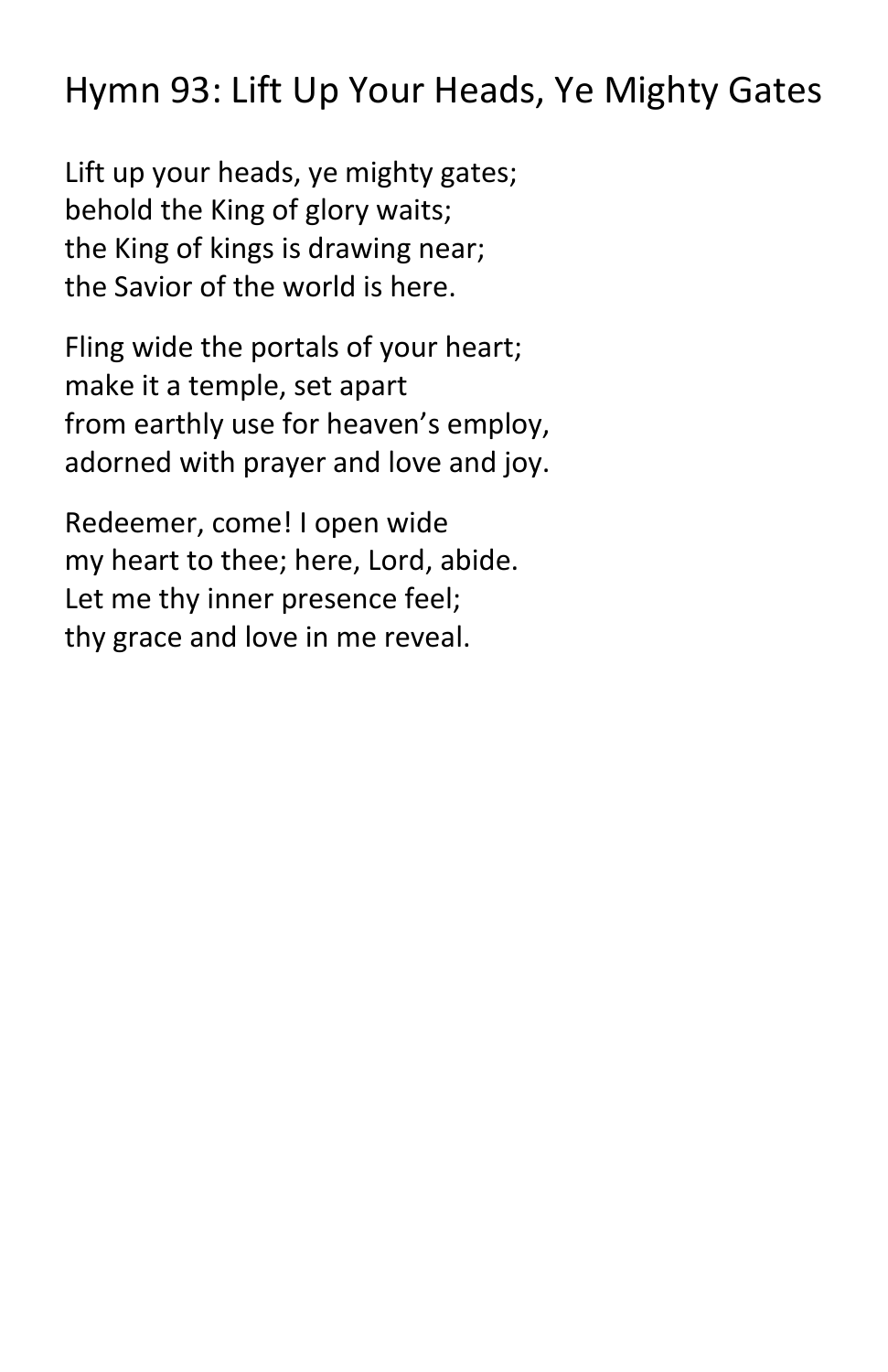# Hymn 93: Lift Up Your Heads, Ye Mighty Gates

Lift up your heads, ye mighty gates; behold the King of glory waits; the King of kings is drawing near; the Savior of the world is here.

Fling wide the portals of your heart; make it a temple, set apart from earthly use for heaven's employ, adorned with prayer and love and joy.

Redeemer, come! I open wide my heart to thee; here, Lord, abide. Let me thy inner presence feel; thy grace and love in me reveal.